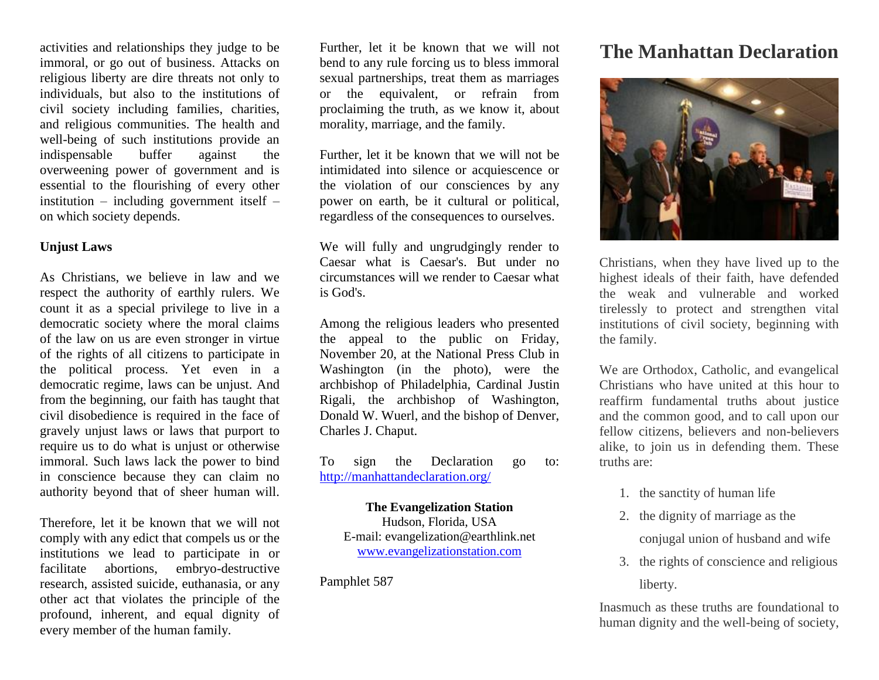activities and relationships they judge to be immoral, or go out of business. Attacks on religious liberty are dire threats not only to individuals, but also to the institutions of civil society including families, charities, and religious communities. The health and well-being of such institutions provide an indispensable buffer against the overweening power of government and is essential to the flourishing of every other institution – including government itself – on which society depends.

# **Unjust Laws**

As Christians, we believe in law and we respect the authority of earthly rulers. We count it as a special privilege to live in a democratic society where the moral claims of the law on us are even stronger in virtue of the rights of all citizens to participate in the political process. Yet even in a democratic regime, laws can be unjust. And from the beginning, our faith has taught that civil disobedience is required in the face of gravely unjust laws or laws that purport to require us to do what is unjust or otherwise immoral. Such laws lack the power to bind in conscience because they can claim no authority beyond that of sheer human will.

Therefore, let it be known that we will not comply with any edict that compels us or the institutions we lead to participate in or facilitate abortions, embryo-destructive research, assisted suicide, euthanasia, or any other act that violates the principle of the profound, inherent, and equal dignity of every member of the human family.

Further, let it be known that we will not bend to any rule forcing us to bless immoral sexual partnerships, treat them as marriages or the equivalent, or refrain from proclaiming the truth, as we know it, about morality, marriage, and the family.

Further, let it be known that we will not be intimidated into silence or acquiescence or the violation of our consciences by any power on earth, be it cultural or political, regardless of the consequences to ourselves.

We will fully and ungrudgingly render to Caesar what is Caesar's. But under no circumstances will we render to Caesar what is God's.

Among the religious leaders who presented the appeal to the public on Friday, November 20, at the National Press Club in Washington (in the photo), were the archbishop of Philadelphia, Cardinal Justin Rigali, the archbishop of Washington, Donald W. Wuerl, and the bishop of Denver, Charles J. Chaput.

To sign the Declaration go to: <http://manhattandeclaration.org/>

# **The Evangelization Station**

Hudson, Florida, USA E-mail: evangelization@earthlink.net [www.evangelizationstation.com](http://www.pjpiisoe.org/)

Pamphlet 587

# **The Manhattan Declaration**



Christians, when they have lived up to the highest ideals of their faith, have defended the weak and vulnerable and worked tirelessly to protect and strengthen vital institutions of civil society, beginning with the family.

We are Orthodox, Catholic, and evangelical Christians who have united at this hour to reaffirm fundamental truths about justice and the common good, and to call upon our fellow citizens, believers and non-believers alike, to join us in defending them. These truths are:

- 1. the sanctity of human life
- 2. the dignity of marriage as the

conjugal union of husband and wife

3. the rights of conscience and religious liberty.

Inasmuch as these truths are foundational to human dignity and the well-being of society,